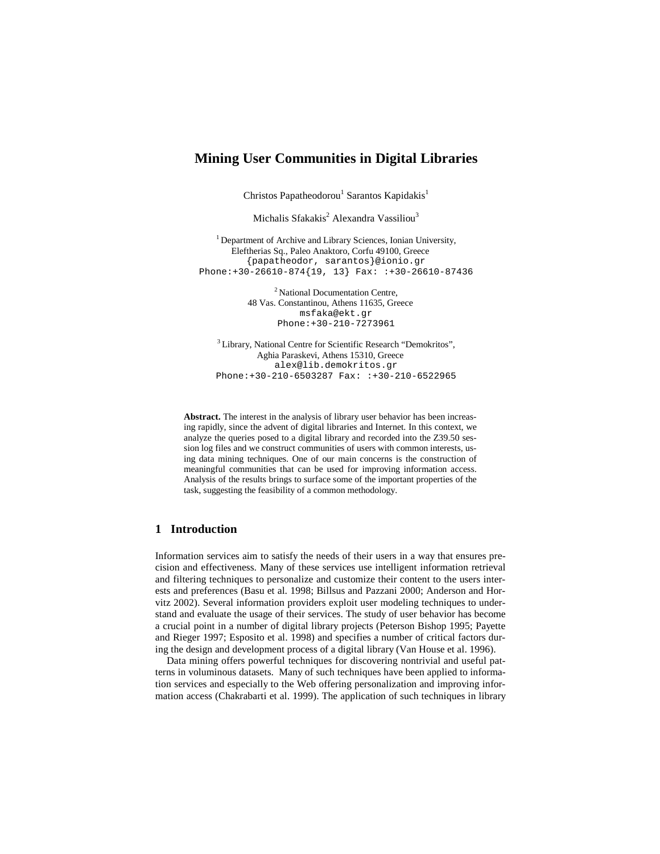# **Mining User Communities in Digital Libraries**

Christos Papatheodorou<sup>1</sup> Sarantos Kapidakis<sup>1</sup>

Michalis Sfakakis<sup>2</sup> Alexandra Vassiliou<sup>3</sup>

<sup>1</sup> Department of Archive and Library Sciences, Ionian University, Eleftherias Sq., Paleo Anaktoro, Corfu 49100, Greece {papatheodor, sarantos}@ionio.gr Phone:+30-26610-874{19, 13} Fax: :+30-26610-87436

> <sup>2</sup> National Documentation Centre, 48 Vas. Constantinou, Athens 11635, Greece msfaka@ekt.gr Phone:+30-210-7273961

3 Library, National Centre for Scientific Research "Demokritos", Aghia Paraskevi, Athens 15310, Greece alex@lib.demokritos.gr Phone:+30-210-6503287 Fax: :+30-210-6522965

**Abstract.** The interest in the analysis of library user behavior has been increasing rapidly, since the advent of digital libraries and Internet. In this context, we analyze the queries posed to a digital library and recorded into the Z39.50 session log files and we construct communities of users with common interests, using data mining techniques. One of our main concerns is the construction of meaningful communities that can be used for improving information access. Analysis of the results brings to surface some of the important properties of the task, suggesting the feasibility of a common methodology.

## **1 Introduction**

Information services aim to satisfy the needs of their users in a way that ensures precision and effectiveness. Many of these services use intelligent information retrieval and filtering techniques to personalize and customize their content to the users interests and preferences (Basu et al. 1998; Billsus and Pazzani 2000; Anderson and Horvitz 2002). Several information providers exploit user modeling techniques to understand and evaluate the usage of their services. The study of user behavior has become a crucial point in a number of digital library projects (Peterson Bishop 1995; Payette and Rieger 1997; Esposito et al. 1998) and specifies a number of critical factors during the design and development process of a digital library (Van House et al. 1996).

Data mining offers powerful techniques for discovering nontrivial and useful patterns in voluminous datasets. Many of such techniques have been applied to information services and especially to the Web offering personalization and improving information access (Chakrabarti et al. 1999). The application of such techniques in library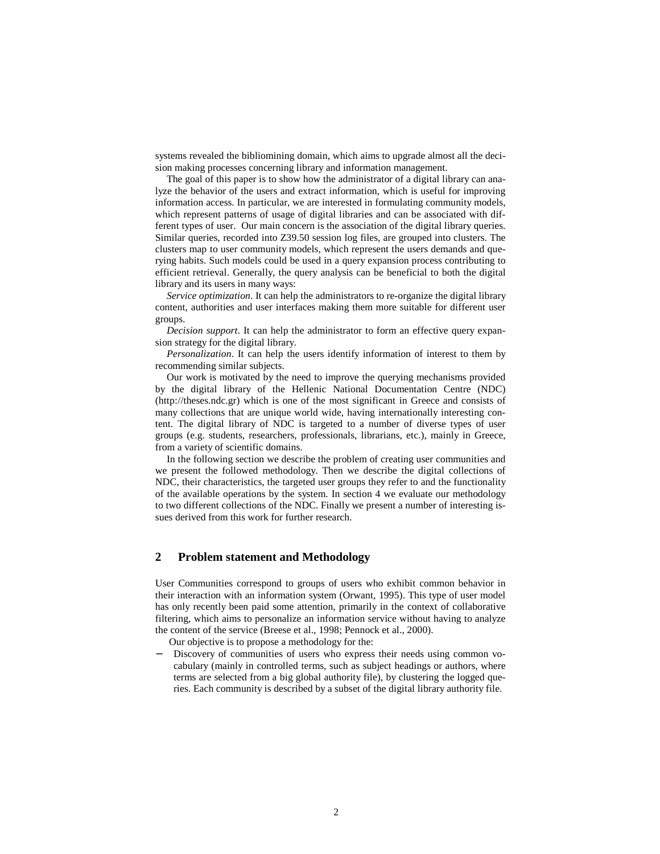systems revealed the bibliomining domain, which aims to upgrade almost all the decision making processes concerning library and information management.

The goal of this paper is to show how the administrator of a digital library can analyze the behavior of the users and extract information, which is useful for improving information access. In particular, we are interested in formulating community models, which represent patterns of usage of digital libraries and can be associated with different types of user. Our main concern is the association of the digital library queries. Similar queries, recorded into Z39.50 session log files, are grouped into clusters. The clusters map to user community models, which represent the users demands and querying habits. Such models could be used in a query expansion process contributing to efficient retrieval. Generally, the query analysis can be beneficial to both the digital library and its users in many ways:

*Service optimization*. It can help the administrators to re-organize the digital library content, authorities and user interfaces making them more suitable for different user groups.

*Decision support*. It can help the administrator to form an effective query expansion strategy for the digital library.

*Personalization*. It can help the users identify information of interest to them by recommending similar subjects.

Our work is motivated by the need to improve the querying mechanisms provided by the digital library of the Hellenic National Documentation Centre (NDC) (http://theses.ndc.gr) which is one of the most significant in Greece and consists of many collections that are unique world wide, having internationally interesting content. The digital library of NDC is targeted to a number of diverse types of user groups (e.g. students, researchers, professionals, librarians, etc.), mainly in Greece, from a variety of scientific domains.

In the following section we describe the problem of creating user communities and we present the followed methodology. Then we describe the digital collections of NDC, their characteristics, the targeted user groups they refer to and the functionality of the available operations by the system. In section 4 we evaluate our methodology to two different collections of the NDC. Finally we present a number of interesting issues derived from this work for further research.

## **2 Problem statement and Methodology**

User Communities correspond to groups of users who exhibit common behavior in their interaction with an information system (Orwant, 1995). This type of user model has only recently been paid some attention, primarily in the context of collaborative filtering, which aims to personalize an information service without having to analyze the content of the service (Breese et al., 1998; Pennock et al., 2000).

Our objective is to propose a methodology for the:

Discovery of communities of users who express their needs using common vocabulary (mainly in controlled terms, such as subject headings or authors, where terms are selected from a big global authority file), by clustering the logged queries. Each community is described by a subset of the digital library authority file.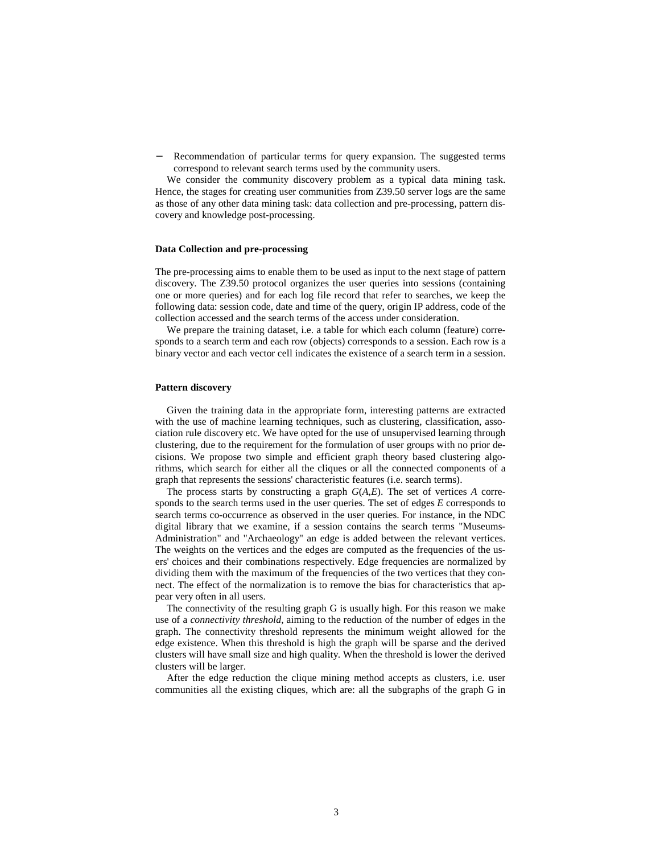Recommendation of particular terms for query expansion. The suggested terms correspond to relevant search terms used by the community users.

We consider the community discovery problem as a typical data mining task. Hence, the stages for creating user communities from Z39.50 server logs are the same as those of any other data mining task: data collection and pre-processing, pattern discovery and knowledge post-processing.

#### **Data Collection and pre-processing**

The pre-processing aims to enable them to be used as input to the next stage of pattern discovery. The Z39.50 protocol organizes the user queries into sessions (containing one or more queries) and for each log file record that refer to searches, we keep the following data: session code, date and time of the query, origin IP address, code of the collection accessed and the search terms of the access under consideration.

We prepare the training dataset, i.e. a table for which each column (feature) corresponds to a search term and each row (objects) corresponds to a session. Each row is a binary vector and each vector cell indicates the existence of a search term in a session.

#### **Pattern discovery**

Given the training data in the appropriate form, interesting patterns are extracted with the use of machine learning techniques, such as clustering, classification, association rule discovery etc. We have opted for the use of unsupervised learning through clustering, due to the requirement for the formulation of user groups with no prior decisions. We propose two simple and efficient graph theory based clustering algorithms, which search for either all the cliques or all the connected components of a graph that represents the sessions' characteristic features (i.e. search terms).

The process starts by constructing a graph *G*(*A*,*E*). The set of vertices *A* corresponds to the search terms used in the user queries. The set of edges *E* corresponds to search terms co-occurrence as observed in the user queries. For instance, in the NDC digital library that we examine, if a session contains the search terms "Museums-Administration" and "Archaeology" an edge is added between the relevant vertices. The weights on the vertices and the edges are computed as the frequencies of the users' choices and their combinations respectively. Edge frequencies are normalized by dividing them with the maximum of the frequencies of the two vertices that they connect. The effect of the normalization is to remove the bias for characteristics that appear very often in all users.

The connectivity of the resulting graph G is usually high. For this reason we make use of a *connectivity threshold*, aiming to the reduction of the number of edges in the graph. The connectivity threshold represents the minimum weight allowed for the edge existence. When this threshold is high the graph will be sparse and the derived clusters will have small size and high quality. When the threshold is lower the derived clusters will be larger.

After the edge reduction the clique mining method accepts as clusters, i.e. user communities all the existing cliques, which are: all the subgraphs of the graph G in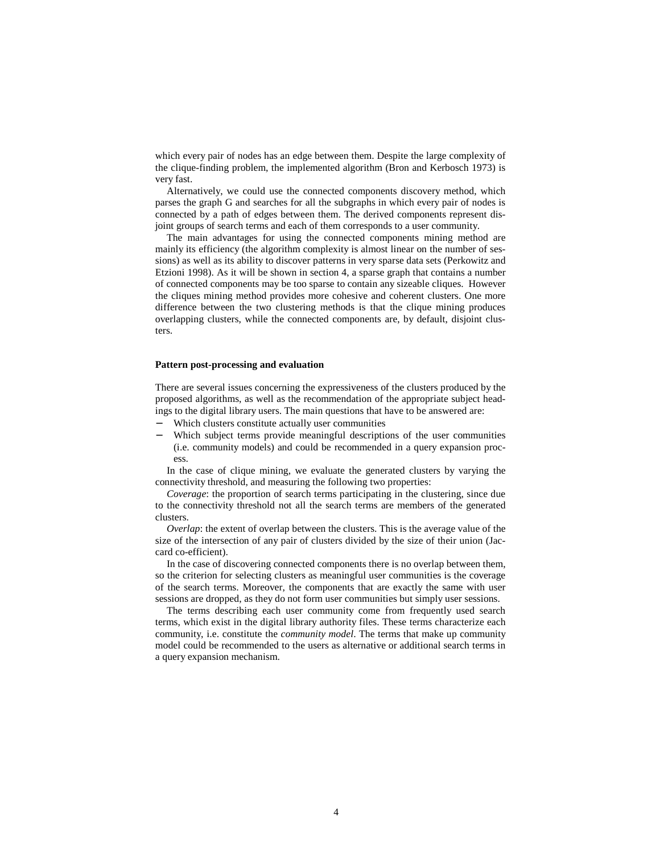which every pair of nodes has an edge between them. Despite the large complexity of the clique-finding problem, the implemented algorithm (Bron and Kerbosch 1973) is very fast.

Alternatively, we could use the connected components discovery method, which parses the graph G and searches for all the subgraphs in which every pair of nodes is connected by a path of edges between them. The derived components represent disjoint groups of search terms and each of them corresponds to a user community.

The main advantages for using the connected components mining method are mainly its efficiency (the algorithm complexity is almost linear on the number of sessions) as well as its ability to discover patterns in very sparse data sets (Perkowitz and Etzioni 1998). As it will be shown in section 4, a sparse graph that contains a number of connected components may be too sparse to contain any sizeable cliques. However the cliques mining method provides more cohesive and coherent clusters. One more difference between the two clustering methods is that the clique mining produces overlapping clusters, while the connected components are, by default, disjoint clusters.

#### **Pattern post-processing and evaluation**

There are several issues concerning the expressiveness of the clusters produced by the proposed algorithms, as well as the recommendation of the appropriate subject headings to the digital library users. The main questions that have to be answered are:

- Which clusters constitute actually user communities
- Which subject terms provide meaningful descriptions of the user communities (i.e. community models) and could be recommended in a query expansion process.

In the case of clique mining, we evaluate the generated clusters by varying the connectivity threshold, and measuring the following two properties:

*Coverage*: the proportion of search terms participating in the clustering, since due to the connectivity threshold not all the search terms are members of the generated clusters.

*Overlap*: the extent of overlap between the clusters. This is the average value of the size of the intersection of any pair of clusters divided by the size of their union (Jaccard co-efficient).

In the case of discovering connected components there is no overlap between them, so the criterion for selecting clusters as meaningful user communities is the coverage of the search terms. Moreover, the components that are exactly the same with user sessions are dropped, as they do not form user communities but simply user sessions.

The terms describing each user community come from frequently used search terms, which exist in the digital library authority files. These terms characterize each community, i.e. constitute the *community model*. The terms that make up community model could be recommended to the users as alternative or additional search terms in a query expansion mechanism.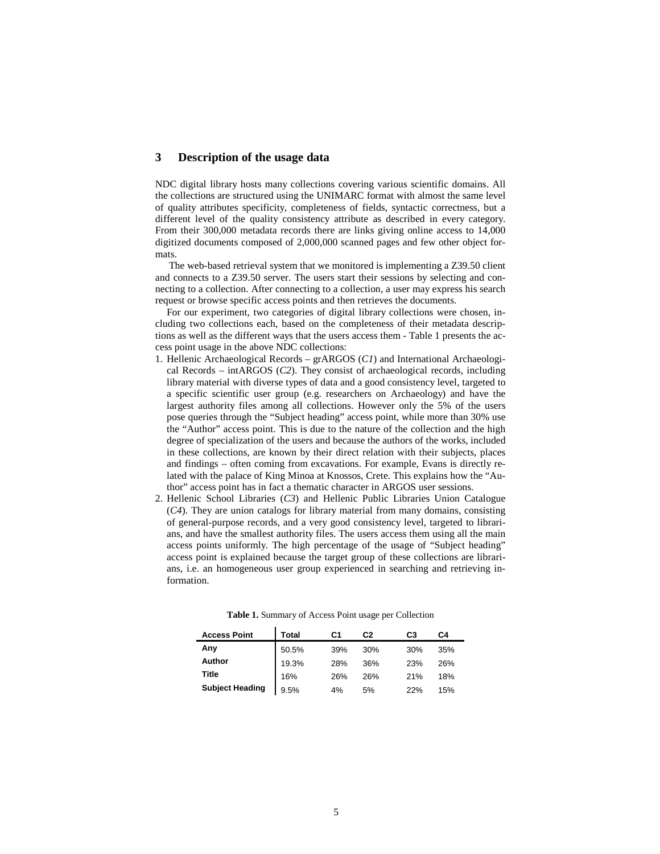## **3 Description of the usage data**

NDC digital library hosts many collections covering various scientific domains. All the collections are structured using the UNIMARC format with almost the same level of quality attributes specificity, completeness of fields, syntactic correctness, but a different level of the quality consistency attribute as described in every category. From their 300,000 metadata records there are links giving online access to 14,000 digitized documents composed of 2,000,000 scanned pages and few other object formats.

The web-based retrieval system that we monitored is implementing a Z39.50 client and connects to a Z39.50 server. The users start their sessions by selecting and connecting to a collection. After connecting to a collection, a user may express his search request or browse specific access points and then retrieves the documents.

For our experiment, two categories of digital library collections were chosen, including two collections each, based on the completeness of their metadata descriptions as well as the different ways that the users access them - Table 1 presents the access point usage in the above NDC collections:

- 1. Hellenic Archaeological Records grARGOS (*C1*) and International Archaeological Records – intARGOS (*C2*). They consist of archaeological records, including library material with diverse types of data and a good consistency level, targeted to a specific scientific user group (e.g. researchers on Archaeology) and have the largest authority files among all collections. However only the 5% of the users pose queries through the "Subject heading" access point, while more than 30% use the "Author" access point. This is due to the nature of the collection and the high degree of specialization of the users and because the authors of the works, included in these collections, are known by their direct relation with their subjects, places and findings – often coming from excavations. For example, Evans is directly related with the palace of King Minoa at Knossos, Crete. This explains how the "Author" access point has in fact a thematic character in ARGOS user sessions.
- 2. Hellenic School Libraries (*C3*) and Hellenic Public Libraries Union Catalogue (*C4*). They are union catalogs for library material from many domains, consisting of general-purpose records, and a very good consistency level, targeted to librarians, and have the smallest authority files. The users access them using all the main access points uniformly. The high percentage of the usage of "Subject heading" access point is explained because the target group of these collections are librarians, i.e. an homogeneous user group experienced in searching and retrieving information.

| <b>Access Point</b>    | Total | С1  | C2  | C3         | C4  |
|------------------------|-------|-----|-----|------------|-----|
| Any                    | 50.5% | 39% | 30% | 30%        | 35% |
| Author                 | 19.3% | 28% | 36% | 23%        | 26% |
| Title                  | 16%   | 26% | 26% | 21%        | 18% |
| <b>Subject Heading</b> | 9.5%  | 4%  | 5%  | <b>22%</b> | 15% |

**Table 1.** Summary of Access Point usage per Collection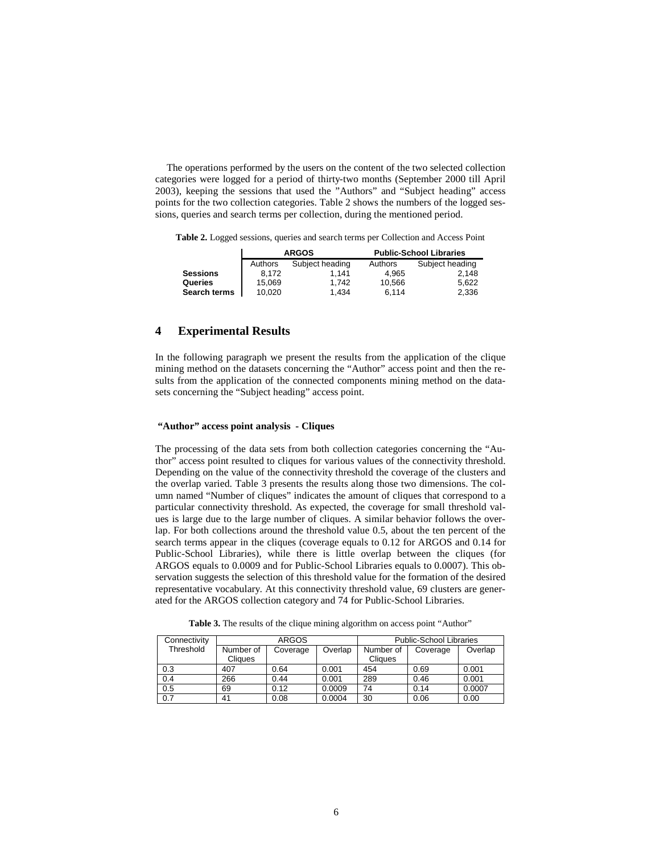The operations performed by the users on the content of the two selected collection categories were logged for a period of thirty-two months (September 2000 till April 2003), keeping the sessions that used the "Authors" and "Subject heading" access points for the two collection categories. Table 2 shows the numbers of the logged sessions, queries and search terms per collection, during the mentioned period.

**Table 2.** Logged sessions, queries and search terms per Collection and Access Point

|                     | <b>ARGOS</b> |                 | <b>Public-School Libraries</b> |                 |  |
|---------------------|--------------|-----------------|--------------------------------|-----------------|--|
|                     | Authors      | Subject heading | Authors                        | Subject heading |  |
| <b>Sessions</b>     | 8.172        | 1.141           | 4.965                          | 2.148           |  |
| Queries             | 15.069       | 1.742           | 10.566                         | 5.622           |  |
| <b>Search terms</b> | 10.020       | 1.434           | 6.114                          | 2,336           |  |

### **4 Experimental Results**

In the following paragraph we present the results from the application of the clique mining method on the datasets concerning the "Author" access point and then the results from the application of the connected components mining method on the datasets concerning the "Subject heading" access point.

#### **"Author" access point analysis - Cliques**

The processing of the data sets from both collection categories concerning the "Author" access point resulted to cliques for various values of the connectivity threshold. Depending on the value of the connectivity threshold the coverage of the clusters and the overlap varied. Table 3 presents the results along those two dimensions. The column named "Number of cliques" indicates the amount of cliques that correspond to a particular connectivity threshold. As expected, the coverage for small threshold values is large due to the large number of cliques. A similar behavior follows the overlap. For both collections around the threshold value 0.5, about the ten percent of the search terms appear in the cliques (coverage equals to 0.12 for ARGOS and 0.14 for Public-School Libraries), while there is little overlap between the cliques (for ARGOS equals to 0.0009 and for Public-School Libraries equals to 0.0007). This observation suggests the selection of this threshold value for the formation of the desired representative vocabulary. At this connectivity threshold value, 69 clusters are generated for the ARGOS collection category and 74 for Public-School Libraries.

| Connectivity |                             | <b>ARGOS</b> |         |                             | <b>Public-School Libraries</b> |         |
|--------------|-----------------------------|--------------|---------|-----------------------------|--------------------------------|---------|
| Threshold    | Number of<br><b>Cliques</b> | Coverage     | Overlap | Number of<br><b>Cliques</b> | Coverage                       | Overlap |
| 0.3          | 407                         | 0.64         | 0.001   | 454                         | 0.69                           | 0.001   |
| 0.4          | 266                         | 0.44         | 0.001   | 289                         | 0.46                           | 0.001   |
| 0.5          | 69                          | 0.12         | 0.0009  | 74                          | 0.14                           | 0.0007  |
| 0.7          | 41                          | 0.08         | 0.0004  | 30                          | 0.06                           | 0.00    |

Table 3. The results of the clique mining algorithm on access point "Author"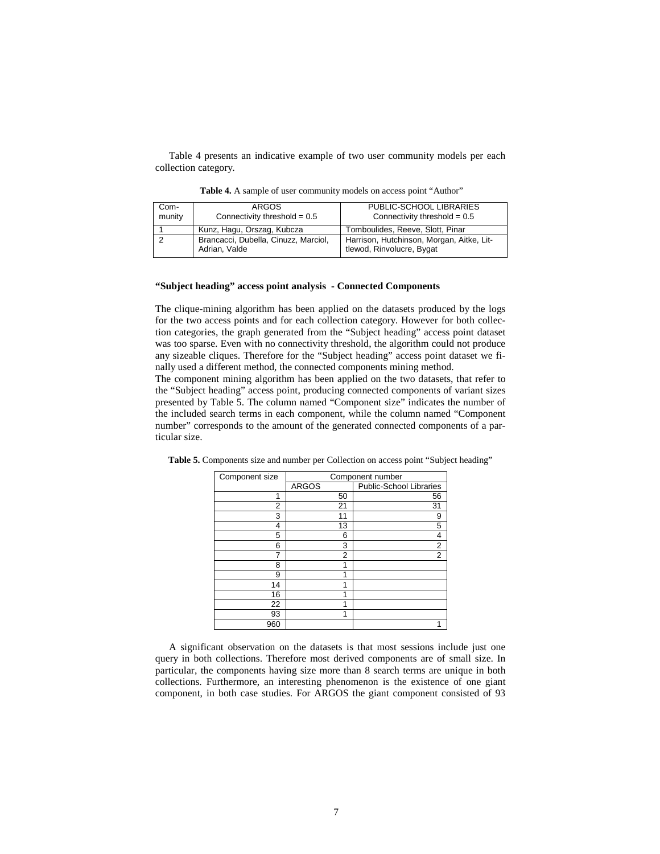Table 4 presents an indicative example of two user community models per each collection category.

| Com-<br>munity | ARGOS<br>Connectivity threshold = $0.5$               | PUBLIC-SCHOOL LIBRARIES<br>Connectivity threshold = $0.5$              |
|----------------|-------------------------------------------------------|------------------------------------------------------------------------|
|                | Kunz, Hagu, Orszag, Kubcza                            | Tomboulides, Reeve, Slott, Pinar                                       |
|                | Brancacci, Dubella, Cinuzz, Marciol,<br>Adrian, Valde | Harrison, Hutchinson, Morgan, Aitke, Lit-<br>tlewod, Rinvolucre, Bygat |

**Table 4.** A sample of user community models on access point "Author"

#### **"Subject heading" access point analysis - Connected Components**

The clique-mining algorithm has been applied on the datasets produced by the logs for the two access points and for each collection category. However for both collection categories, the graph generated from the "Subject heading" access point dataset was too sparse. Even with no connectivity threshold, the algorithm could not produce any sizeable cliques. Therefore for the "Subject heading" access point dataset we finally used a different method, the connected components mining method.

The component mining algorithm has been applied on the two datasets, that refer to the "Subject heading" access point, producing connected components of variant sizes presented by Table 5. The column named "Component size" indicates the number of the included search terms in each component, while the column named "Component number" corresponds to the amount of the generated connected components of a particular size.

| Component size | Component number |                                |  |
|----------------|------------------|--------------------------------|--|
|                | <b>ARGOS</b>     | <b>Public-School Libraries</b> |  |
| 1              | 50               | 56                             |  |
| 2              | 21               | 31                             |  |
| 3              | 11               | 9                              |  |
| 4              | 13               | 5                              |  |
| 5              | 6                | 4                              |  |
| 6              | 3                | $\overline{\mathbf{2}}$        |  |
| 7              | 2                | $\overline{2}$                 |  |
| 8              |                  |                                |  |
| 9              |                  |                                |  |
| 14             | 1                |                                |  |
| 16             |                  |                                |  |
| 22             | 1                |                                |  |
| 93             | 1                |                                |  |
| 960            |                  |                                |  |

**Table 5.** Components size and number per Collection on access point "Subject heading"

A significant observation on the datasets is that most sessions include just one query in both collections. Therefore most derived components are of small size. In particular, the components having size more than 8 search terms are unique in both collections. Furthermore, an interesting phenomenon is the existence of one giant component, in both case studies. For ARGOS the giant component consisted of 93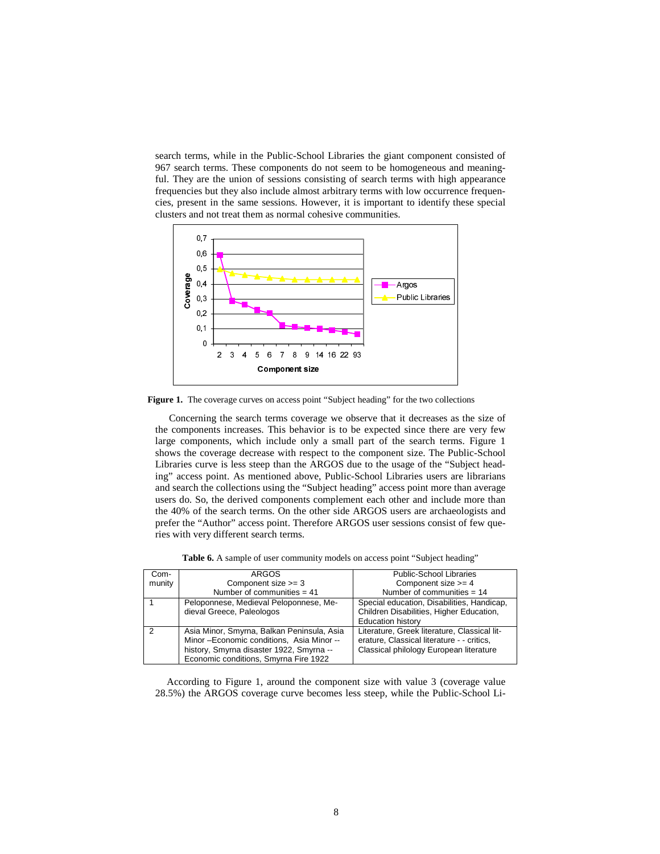search terms, while in the Public-School Libraries the giant component consisted of 967 search terms. These components do not seem to be homogeneous and meaningful. They are the union of sessions consisting of search terms with high appearance frequencies but they also include almost arbitrary terms with low occurrence frequencies, present in the same sessions. However, it is important to identify these special clusters and not treat them as normal cohesive communities.



Figure 1. The coverage curves on access point "Subject heading" for the two collections

Concerning the search terms coverage we observe that it decreases as the size of the components increases. This behavior is to be expected since there are very few large components, which include only a small part of the search terms. Figure 1 shows the coverage decrease with respect to the component size. The Public-School Libraries curve is less steep than the ARGOS due to the usage of the "Subject heading" access point. As mentioned above, Public-School Libraries users are librarians and search the collections using the "Subject heading" access point more than average users do. So, the derived components complement each other and include more than the 40% of the search terms. On the other side ARGOS users are archaeologists and prefer the "Author" access point. Therefore ARGOS user sessions consist of few queries with very different search terms.

| Com-   | <b>ARGOS</b>                               | Public-School Libraries                      |
|--------|--------------------------------------------|----------------------------------------------|
| munity | Component size $>=$ 3                      | Component size $>=$ 4                        |
|        | Number of communities $= 41$               | Number of communities $= 14$                 |
|        | Peloponnese, Medieval Peloponnese, Me-     | Special education, Disabilities, Handicap,   |
|        | dieval Greece, Paleologos                  | Children Disabilities, Higher Education,     |
|        |                                            | <b>Education history</b>                     |
| 2      | Asia Minor, Smyrna, Balkan Peninsula, Asia | Literature, Greek literature, Classical lit- |
|        | Minor-Economic conditions, Asia Minor--    | erature. Classical literature - - critics,   |
|        | history, Smyrna disaster 1922, Smyrna --   | Classical philology European literature      |
|        | Economic conditions, Smyrna Fire 1922      |                                              |

Table 6. A sample of user community models on access point "Subject heading"

According to Figure 1, around the component size with value 3 (coverage value 28.5%) the ARGOS coverage curve becomes less steep, while the Public-School Li-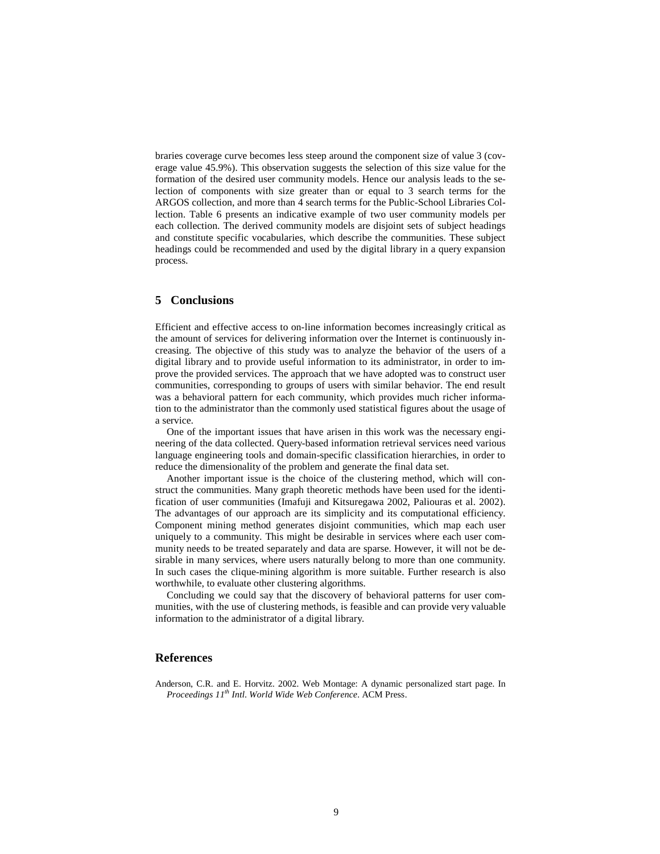braries coverage curve becomes less steep around the component size of value 3 (coverage value 45.9%). This observation suggests the selection of this size value for the formation of the desired user community models. Hence our analysis leads to the selection of components with size greater than or equal to 3 search terms for the ARGOS collection, and more than 4 search terms for the Public-School Libraries Collection. Table 6 presents an indicative example of two user community models per each collection. The derived community models are disjoint sets of subject headings and constitute specific vocabularies, which describe the communities. These subject headings could be recommended and used by the digital library in a query expansion process.

### **5 Conclusions**

Efficient and effective access to on-line information becomes increasingly critical as the amount of services for delivering information over the Internet is continuously increasing. The objective of this study was to analyze the behavior of the users of a digital library and to provide useful information to its administrator, in order to improve the provided services. The approach that we have adopted was to construct user communities, corresponding to groups of users with similar behavior. The end result was a behavioral pattern for each community, which provides much richer information to the administrator than the commonly used statistical figures about the usage of a service.

One of the important issues that have arisen in this work was the necessary engineering of the data collected. Query-based information retrieval services need various language engineering tools and domain-specific classification hierarchies, in order to reduce the dimensionality of the problem and generate the final data set.

Another important issue is the choice of the clustering method, which will construct the communities. Many graph theoretic methods have been used for the identification of user communities (Imafuji and Kitsuregawa 2002, Paliouras et al. 2002). The advantages of our approach are its simplicity and its computational efficiency. Component mining method generates disjoint communities, which map each user uniquely to a community. This might be desirable in services where each user community needs to be treated separately and data are sparse. However, it will not be desirable in many services, where users naturally belong to more than one community. In such cases the clique-mining algorithm is more suitable. Further research is also worthwhile, to evaluate other clustering algorithms.

Concluding we could say that the discovery of behavioral patterns for user communities, with the use of clustering methods, is feasible and can provide very valuable information to the administrator of a digital library.

### **References**

Anderson, C.R. and E. Horvitz. 2002. Web Montage: A dynamic personalized start page. In *Proceedings 11th Intl. World Wide Web Conference*. ACM Press.